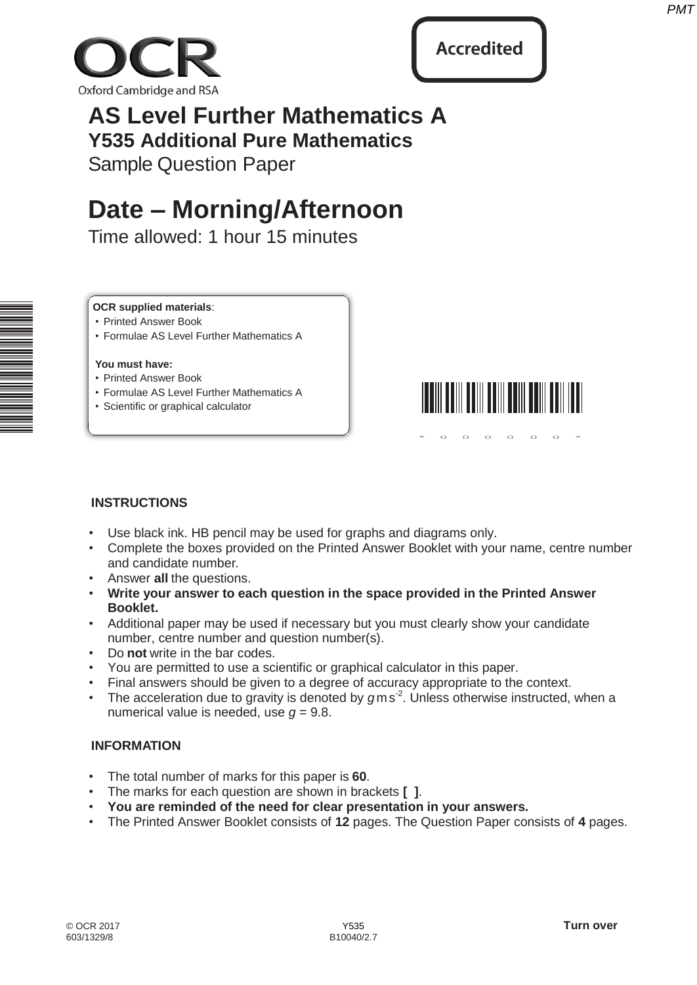



# **AS Level Further Mathematics A Y535 Additional Pure Mathematics**

Sample Question Paper

# **Date – Morning/Afternoon**

Time allowed: 1 hour 15 minutes

### **OCR supplied materials**:

- Printed Answer Book
- Formulae AS Level Further Mathematics A

#### **You must have:**

- Printed Answer Book
- Formulae AS Level Further Mathematics A
- Scientific or graphical calculator



 $*$  0 0 0 0 0 0  $*$ 

# **INSTRUCTIONS**

- Use black ink. HB pencil may be used for graphs and diagrams only.
- Complete the boxes provided on the Printed Answer Booklet with your name, centre number and candidate number.
- Answer **all** the questions.
- **Write your answer to each question in the space provided in the Printed Answer Booklet.**
- Additional paper may be used if necessary but you must clearly show your candidate number, centre number and question number(s).
- Do **not** write in the bar codes.
- You are permitted to use a scientific or graphical calculator in this paper.
- Final answers should be given to a degree of accuracy appropriate to the context.
- The acceleration due to gravity is denoted by gms<sup>2</sup>. Unless otherwise instructed, when a numerical value is needed, use  $q = 9.8$ .

# **INFORMATION**

- The total number of marks for this paper is **60**.
- The marks for each question are shown in brackets **[ ]**.
- **You are reminded of the need for clear presentation in your answers.**
- The Printed Answer Booklet consists of **12** pages. The Question Paper consists of **4** pages.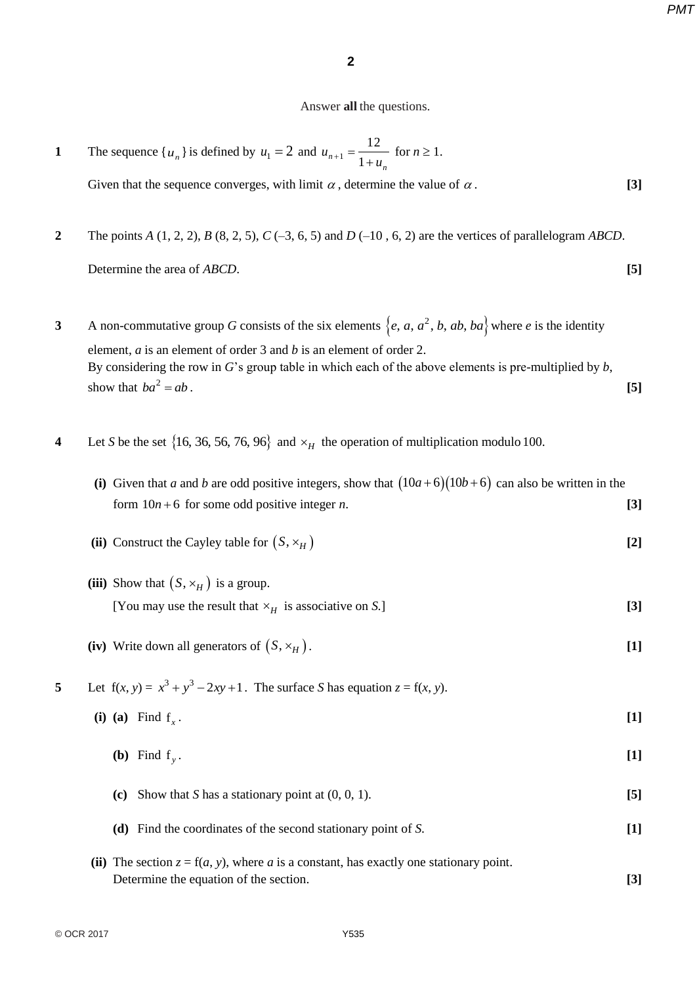*PMT*

#### Answer **all** the questions.

**1** The sequence  $\{u_n\}$  is defined by  $u_1 = 2$  and  $u_{n+1} = \frac{1}{1+u_n}$  $n_1 = \frac{12}{1 + x}$  for  $n \ge 1$ .

Given that the sequence converges, with limit  $\alpha$ , determine the value of  $\alpha$ . **[3]** 

**2** The points *A* (1, 2, 2), *B* (8, 2, 5), *C* (–3, 6, 5) and *D* (–10 , 6, 2) are the vertices of parallelogram *ABCD*.

Determine the area of *ABCD*. **[5]** 

**3** A non-commutative group *G* consists of the six elements  $\{e, a, a^2, b, ab, ba\}$  where *e* is the identity element, *a* is an element of order 3 and *b* is an element of order 2. By considering the row in *G*'s group table in which each of the above elements is pre-multiplied by *b*, show that  $ba^2 = ab$ . **[5]** 

**4** Let *S* be the set  $\{16, 36, 56, 76, 96\}$  and  $\times_H$  the operation of multiplication modulo 100.

| (i) Given that a and b are odd positive integers, show that $(10a+6)(10b+6)$ can also be written in the |  |
|---------------------------------------------------------------------------------------------------------|--|
| form $10n+6$ for some odd positive integer <i>n</i> .                                                   |  |

- (ii) Construct the Cayley table for  $(S, \times_H)$  [2]
- (iii) Show that  $(S, \times_H)$  is a group. [You may use the result that  $\times$ <sub>*H*</sub> is associative on *S*.] **[3]**
- (iv) Write down all generators of  $(S, \times_H)$ . [1]
- **5** Let  $f(x, y) = x^3 + y^3 2xy + 1$ . The surface *S* has equation  $z = f(x, y)$ .
	- **(i)** (a) Find  $f_x$ . **[1]** 
		- **(b)** Find  $f_y$ . **[1]**
		- **(c)** Show that *S* has a stationary point at  $(0, 0, 1)$ . **[5] (d)** Find the coordinates of the second stationary point of *S*. **[1]**
	- (ii) The section  $z = f(a, y)$ , where *a* is a constant, has exactly one stationary point. Determine the equation of the section. **[3]**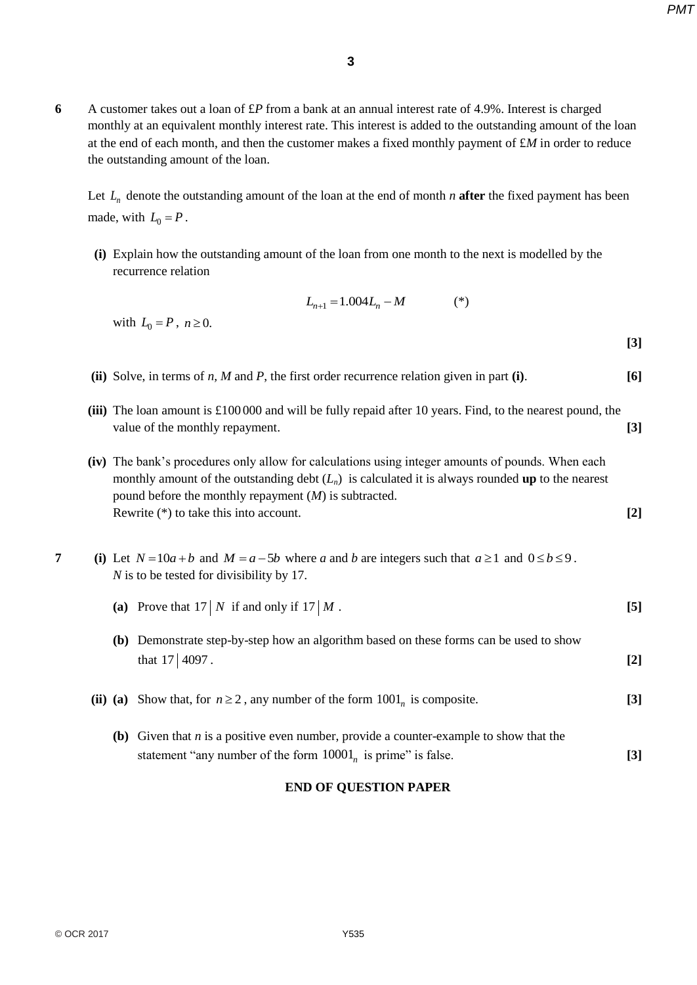*PMT*

**6** A customer takes out a loan of £*P* from a bank at an annual interest rate of 4.9%. Interest is charged monthly at an equivalent monthly interest rate. This interest is added to the outstanding amount of the loan at the end of each month, and then the customer makes a fixed monthly payment of £*M* in order to reduce the outstanding amount of the loan.

Let  $L_n$  denote the outstanding amount of the loan at the end of month *n* **after** the fixed payment has been made, with  $L_0 = P$ .

 **(i)** Explain how the outstanding amount of the loan from one month to the next is modelled by the recurrence relation

$$
L_{n+1} = 1.004L_n - M \tag{*}
$$

**[3]**

with  $L_0 = P$ ,  $n \ge 0$ .

- **(ii)** Solve, in terms of *n, M* and *P*, the first order recurrence relation given in part **(i)**. **[6]**
- **(iii)** The loan amount is £100 000 and will be fully repaid after 10 years. Find, to the nearest pound, the value of the monthly repayment. **[3]** *[3]*
- **(iv)** The bank's procedures only allow for calculations using integer amounts of pounds. When each monthly amount of the outstanding debt  $(L_n)$  is calculated it is always rounded **up** to the nearest pound before the monthly repayment (*M*) is subtracted. Rewrite (\*) to take this into account. **[2]**
- **7** (i) Let  $N = 10a + b$  and  $M = a 5b$  where *a* and *b* are integers such that  $a \ge 1$  and  $0 \le b \le 9$ . *N* is to be tested for divisibility by 17*.*
	- (a) Prove that  $17/N$  if and only if  $17/M$ . [5]
	- **(b)** Demonstrate step-by-step how an algorithm based on these forms can be used to show that  $17 \mid 4097$ . [2]
	- (ii) (a) Show that, for  $n \ge 2$ , any number of the form  $1001<sub>n</sub>$  is composite. **[3]** 
		- **(b)** Given that *n* is a positive even number, provide a counter-example to show that the  $\text{statement "any number of the form } 10001_n$  **is prime" is false.** [3]

#### **END OF QUESTION PAPER**